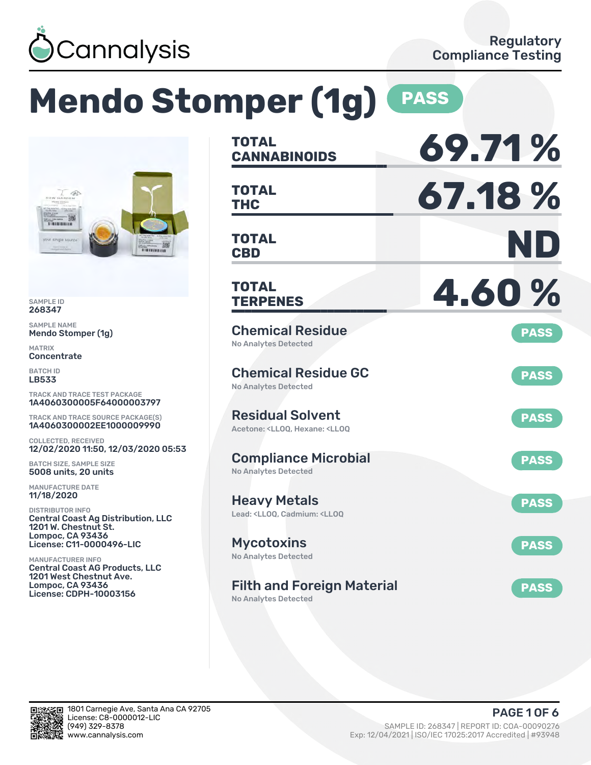

# **Mendo Stomper (1g) PASS**



SAMPLE ID 268347

SAMPLE NAME Mendo Stomper (1g)

MATRIX **Concentrate** 

BATCH ID LB533

TRACK AND TRACE TEST PACKAGE 1A4060300005F64000003797

TRACK AND TRACE SOURCE PACKAGE(S) 1A4060300002EE1000009990

COLLECTED, RECEIVED 12/02/2020 11:50, 12/03/2020 05:53

BATCH SIZE, SAMPLE SIZE 5008 units, 20 units

MANUFACTURE DATE 11/18/2020

DISTRIBUTOR INFO Central Coast Ag Distribution, LLC 1201 W. Chestnut St. Lompoc, CA 93436 License: C11-0000496-LIC

MANUFACTURER INFO Central Coast AG Products, LLC 1201 West Chestnut Ave. Lompoc, CA 93436 License: CDPH-10003156

| <b>TOTAL</b><br><b>CANNABINOIDS</b>                                                                | 69.71%      |
|----------------------------------------------------------------------------------------------------|-------------|
| <b>TOTAL</b><br><b>THC</b>                                                                         | 67.18%      |
| <b>TOTAL</b><br><b>CBD</b>                                                                         | ND          |
| <b>TOTAL</b><br><b>TERPENES</b>                                                                    | 4.60%       |
| <b>Chemical Residue</b><br><b>No Analytes Detected</b>                                             | <b>PASS</b> |
| <b>Chemical Residue GC</b><br><b>No Analytes Detected</b>                                          | <b>PASS</b> |
| <b>Residual Solvent</b><br>Acetone: <ll00. <ll00<="" hexane:="" td=""><td><b>PASS</b></td></ll00.> | <b>PASS</b> |
| <b>Compliance Microbial</b><br><b>No Analytes Detected</b>                                         | <b>PASS</b> |
| <b>Heavy Metals</b><br>Lead: <lloq, <lloq<="" cadmium:="" td=""><td><b>PASS</b></td></lloq,>       | <b>PASS</b> |
| <b>Mycotoxins</b><br>No Analytes Detected                                                          | <b>PASS</b> |
| <b>Filth and Foreign Material</b>                                                                  | <b>PASS</b> |

No Analytes Detected

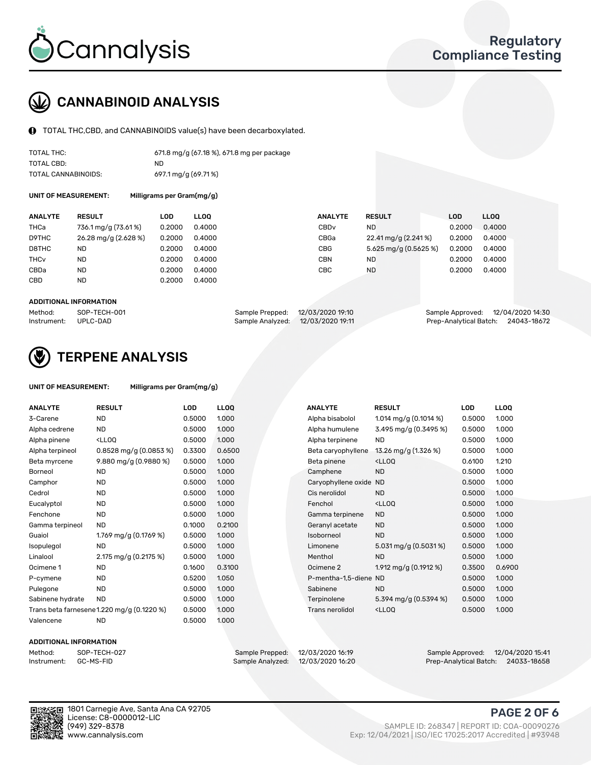

## CANNABINOID ANALYSIS

TOTAL THC,CBD, and CANNABINOIDS value(s) have been decarboxylated.

| TOTAL THC:          | 671.8 mg/g (67.18 %), 671.8 mg per package |
|---------------------|--------------------------------------------|
| TOTAL CBD:          | ND.                                        |
| TOTAL CANNABINOIDS: | 697.1 mg/g (69.71%)                        |

UNIT OF MEASUREMENT: Milligrams per Gram(mg/g)

| <b>ANALYTE</b> | <b>RESULT</b>        | LOD    | <b>LLOO</b> | <b>ANALYTE</b>   | <b>RESULT</b>         | LOD    | <b>LLOO</b> |
|----------------|----------------------|--------|-------------|------------------|-----------------------|--------|-------------|
| THCa           | 736.1 mg/g (73.61%)  | 0.2000 | 0.4000      | CBD <sub>v</sub> | <b>ND</b>             | 0.2000 | 0.4000      |
| D9THC          | 26.28 mg/g (2.628 %) | 0.2000 | 0.4000      | CBGa             | 22.41 mg/g (2.241%)   | 0.2000 | 0.4000      |
| D8THC          | <b>ND</b>            | 0.2000 | 0.4000      | <b>CBG</b>       | 5.625 mg/g (0.5625 %) | 0.2000 | 0.4000      |
| THCv           | <b>ND</b>            | 0.2000 | 0.4000      | CBN              | <b>ND</b>             | 0.2000 | 0.4000      |
| CBDa           | <b>ND</b>            | 0.2000 | 0.4000      | CBC              | <b>ND</b>             | 0.2000 | 0.4000      |
| CBD            | <b>ND</b>            | 0.2000 | 0.4000      |                  |                       |        |             |

#### ADDITIONAL INFORMATION

| Method:              | SOP-TECH-001 | Sample Prepped: 12/03/2020 19:10  | Sample Approved: 12/04/2020 14:30  |  |
|----------------------|--------------|-----------------------------------|------------------------------------|--|
| Instrument: UPLC-DAD |              | Sample Analyzed: 12/03/2020 19:11 | Prep-Analytical Batch: 24043-18672 |  |



## TERPENE ANALYSIS

| UNIT OF MEASUREMENT: | Milligrams per Gram(mg/g) |
|----------------------|---------------------------|
|                      |                           |

| <b>ANALYTE</b>   | <b>RESULT</b>                                                                                                             | LOD    | <b>LLOQ</b> | <b>ANALYTE</b>         | <b>RESULT</b>                                      | <b>LOD</b> | <b>LLOQ</b> |
|------------------|---------------------------------------------------------------------------------------------------------------------------|--------|-------------|------------------------|----------------------------------------------------|------------|-------------|
| 3-Carene         | <b>ND</b>                                                                                                                 | 0.5000 | 1.000       | Alpha bisabolol        | 1.014 mg/g $(0.1014\%)$                            | 0.5000     | 1.000       |
| Alpha cedrene    | <b>ND</b>                                                                                                                 | 0.5000 | 1.000       | Alpha humulene         | 3.495 mg/g (0.3495 %)                              | 0.5000     | 1.000       |
| Alpha pinene     | <lloq< td=""><td>0.5000</td><td>1.000</td><td>Alpha terpinene</td><td><b>ND</b></td><td>0.5000</td><td>1.000</td></lloq<> | 0.5000 | 1.000       | Alpha terpinene        | <b>ND</b>                                          | 0.5000     | 1.000       |
| Alpha terpineol  | $0.8528$ mg/g $(0.0853%)$                                                                                                 | 0.3300 | 0.6500      | Beta caryophyllene     | 13.26 mg/g (1.326 %)                               | 0.5000     | 1.000       |
| Beta myrcene     | 9.880 mg/g (0.9880 %)                                                                                                     | 0.5000 | 1.000       | Beta pinene            | <lloq< td=""><td>0.6100</td><td>1.210</td></lloq<> | 0.6100     | 1.210       |
| Borneol          | <b>ND</b>                                                                                                                 | 0.5000 | 1.000       | Camphene               | <b>ND</b>                                          | 0.5000     | 1.000       |
| Camphor          | <b>ND</b>                                                                                                                 | 0.5000 | 1.000       | Caryophyllene oxide ND |                                                    | 0.5000     | 1.000       |
| Cedrol           | <b>ND</b>                                                                                                                 | 0.5000 | 1.000       | Cis nerolidol          | <b>ND</b>                                          | 0.5000     | 1.000       |
| Eucalyptol       | <b>ND</b>                                                                                                                 | 0.5000 | 1.000       | Fenchol                | <lloq< td=""><td>0.5000</td><td>1.000</td></lloq<> | 0.5000     | 1.000       |
| Fenchone         | <b>ND</b>                                                                                                                 | 0.5000 | 1.000       | Gamma terpinene        | <b>ND</b>                                          | 0.5000     | 1.000       |
| Gamma terpineol  | <b>ND</b>                                                                                                                 | 0.1000 | 0.2100      | Geranyl acetate        | <b>ND</b>                                          | 0.5000     | 1.000       |
| Guaiol           | 1.769 mg/g (0.1769 %)                                                                                                     | 0.5000 | 1.000       | Isoborneol             | <b>ND</b>                                          | 0.5000     | 1.000       |
| Isopulegol       | <b>ND</b>                                                                                                                 | 0.5000 | 1.000       | Limonene               | 5.031 mg/g (0.5031%)                               | 0.5000     | 1.000       |
| Linalool         | 2.175 mg/g (0.2175 %)                                                                                                     | 0.5000 | 1.000       | Menthol                | <b>ND</b>                                          | 0.5000     | 1.000       |
| Ocimene 1        | <b>ND</b>                                                                                                                 | 0.1600 | 0.3100      | Ocimene 2              | 1.912 mg/g $(0.1912 \%)$                           | 0.3500     | 0.6900      |
| P-cymene         | <b>ND</b>                                                                                                                 | 0.5200 | 1.050       | P-mentha-1,5-diene ND  |                                                    | 0.5000     | 1.000       |
| Pulegone         | <b>ND</b>                                                                                                                 | 0.5000 | 1.000       | Sabinene               | <b>ND</b>                                          | 0.5000     | 1.000       |
| Sabinene hydrate | <b>ND</b>                                                                                                                 | 0.5000 | 1.000       | Terpinolene            | 5.394 mg/g (0.5394 %)                              | 0.5000     | 1.000       |
|                  | Trans beta farnesene1.220 mg/g (0.1220 %)                                                                                 | 0.5000 | 1.000       | Trans nerolidol        | <lloq< td=""><td>0.5000</td><td>1.000</td></lloq<> | 0.5000     | 1.000       |
| Valencene        | <b>ND</b>                                                                                                                 | 0.5000 | 1.000       |                        |                                                    |            |             |

#### ADDITIONAL INFORMATION

| Method:     | SOP-TECH  |
|-------------|-----------|
| Instrument: | GC-MS-FIL |

Method: SOP-TECH-027 Sample Prepped: 12/03/2020 16:19 Sample Approved: 12/04/2020 15:41 Instrument: GC-MS-FID Sample Analyzed: 12/03/2020 16:20 Prep-Analytical Batch: 24033-18658



1801 Carnegie Ave, Santa Ana CA 92705 License: C8-0000012-LIC<br>(949) 329-8378

### PAGE 2 OF 6

(949) 329-8378 SAMPLE ID: 268347 | REPORT ID: COA-00090276 Exp: 12/04/2021 | ISO/IEC 17025:2017 Accredited | #93948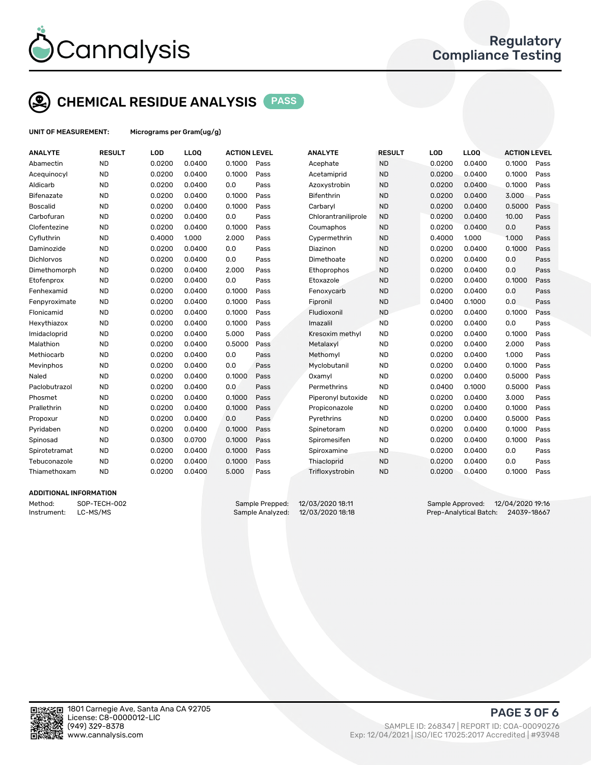

## CHEMICAL RESIDUE ANALYSIS PASS

UNIT OF MEASUREMENT: Micrograms per Gram(ug/g)

| <b>ANALYTE</b>    | <b>RESULT</b> | LOD    | LLOQ   | <b>ACTION LEVEL</b> |      | <b>ANALYTE</b>      | <b>RESULT</b> | LOD    | <b>LLOQ</b> | <b>ACTION LEVEL</b> |      |
|-------------------|---------------|--------|--------|---------------------|------|---------------------|---------------|--------|-------------|---------------------|------|
| Abamectin         | <b>ND</b>     | 0.0200 | 0.0400 | 0.1000              | Pass | Acephate            | <b>ND</b>     | 0.0200 | 0.0400      | 0.1000              | Pass |
| Acequinocyl       | <b>ND</b>     | 0.0200 | 0.0400 | 0.1000              | Pass | Acetamiprid         | <b>ND</b>     | 0.0200 | 0.0400      | 0.1000              | Pass |
| Aldicarb          | <b>ND</b>     | 0.0200 | 0.0400 | 0.0                 | Pass | Azoxystrobin        | <b>ND</b>     | 0.0200 | 0.0400      | 0.1000              | Pass |
| <b>Bifenazate</b> | <b>ND</b>     | 0.0200 | 0.0400 | 0.1000              | Pass | <b>Bifenthrin</b>   | <b>ND</b>     | 0.0200 | 0.0400      | 3.000               | Pass |
| <b>Boscalid</b>   | <b>ND</b>     | 0.0200 | 0.0400 | 0.1000              | Pass | Carbaryl            | <b>ND</b>     | 0.0200 | 0.0400      | 0.5000              | Pass |
| Carbofuran        | <b>ND</b>     | 0.0200 | 0.0400 | 0.0                 | Pass | Chlorantraniliprole | <b>ND</b>     | 0.0200 | 0.0400      | 10.00               | Pass |
| Clofentezine      | <b>ND</b>     | 0.0200 | 0.0400 | 0.1000              | Pass | Coumaphos           | <b>ND</b>     | 0.0200 | 0.0400      | 0.0                 | Pass |
| Cyfluthrin        | <b>ND</b>     | 0.4000 | 1.000  | 2.000               | Pass | Cypermethrin        | <b>ND</b>     | 0.4000 | 1.000       | 1.000               | Pass |
| Daminozide        | <b>ND</b>     | 0.0200 | 0.0400 | 0.0                 | Pass | Diazinon            | <b>ND</b>     | 0.0200 | 0.0400      | 0.1000              | Pass |
| Dichlorvos        | <b>ND</b>     | 0.0200 | 0.0400 | 0.0                 | Pass | Dimethoate          | <b>ND</b>     | 0.0200 | 0.0400      | 0.0                 | Pass |
| Dimethomorph      | <b>ND</b>     | 0.0200 | 0.0400 | 2.000               | Pass | Ethoprophos         | <b>ND</b>     | 0.0200 | 0.0400      | 0.0                 | Pass |
| Etofenprox        | <b>ND</b>     | 0.0200 | 0.0400 | 0.0                 | Pass | Etoxazole           | <b>ND</b>     | 0.0200 | 0.0400      | 0.1000              | Pass |
| Fenhexamid        | <b>ND</b>     | 0.0200 | 0.0400 | 0.1000              | Pass | Fenoxycarb          | <b>ND</b>     | 0.0200 | 0.0400      | 0.0                 | Pass |
| Fenpyroximate     | <b>ND</b>     | 0.0200 | 0.0400 | 0.1000              | Pass | Fipronil            | <b>ND</b>     | 0.0400 | 0.1000      | 0.0                 | Pass |
| Flonicamid        | <b>ND</b>     | 0.0200 | 0.0400 | 0.1000              | Pass | Fludioxonil         | <b>ND</b>     | 0.0200 | 0.0400      | 0.1000              | Pass |
| Hexythiazox       | <b>ND</b>     | 0.0200 | 0.0400 | 0.1000              | Pass | Imazalil            | <b>ND</b>     | 0.0200 | 0.0400      | 0.0                 | Pass |
| Imidacloprid      | <b>ND</b>     | 0.0200 | 0.0400 | 5.000               | Pass | Kresoxim methyl     | <b>ND</b>     | 0.0200 | 0.0400      | 0.1000              | Pass |
| Malathion         | <b>ND</b>     | 0.0200 | 0.0400 | 0.5000              | Pass | Metalaxyl           | <b>ND</b>     | 0.0200 | 0.0400      | 2.000               | Pass |
| Methiocarb        | <b>ND</b>     | 0.0200 | 0.0400 | 0.0                 | Pass | Methomyl            | <b>ND</b>     | 0.0200 | 0.0400      | 1.000               | Pass |
| Mevinphos         | <b>ND</b>     | 0.0200 | 0.0400 | 0.0                 | Pass | Myclobutanil        | <b>ND</b>     | 0.0200 | 0.0400      | 0.1000              | Pass |
| Naled             | <b>ND</b>     | 0.0200 | 0.0400 | 0.1000              | Pass | Oxamyl              | <b>ND</b>     | 0.0200 | 0.0400      | 0.5000              | Pass |
| Paclobutrazol     | <b>ND</b>     | 0.0200 | 0.0400 | 0.0                 | Pass | Permethrins         | <b>ND</b>     | 0.0400 | 0.1000      | 0.5000              | Pass |
| Phosmet           | <b>ND</b>     | 0.0200 | 0.0400 | 0.1000              | Pass | Piperonyl butoxide  | <b>ND</b>     | 0.0200 | 0.0400      | 3.000               | Pass |
| Prallethrin       | <b>ND</b>     | 0.0200 | 0.0400 | 0.1000              | Pass | Propiconazole       | <b>ND</b>     | 0.0200 | 0.0400      | 0.1000              | Pass |
| Propoxur          | <b>ND</b>     | 0.0200 | 0.0400 | 0.0                 | Pass | Pyrethrins          | <b>ND</b>     | 0.0200 | 0.0400      | 0.5000              | Pass |
| Pyridaben         | <b>ND</b>     | 0.0200 | 0.0400 | 0.1000              | Pass | Spinetoram          | <b>ND</b>     | 0.0200 | 0.0400      | 0.1000              | Pass |
| Spinosad          | <b>ND</b>     | 0.0300 | 0.0700 | 0.1000              | Pass | Spiromesifen        | <b>ND</b>     | 0.0200 | 0.0400      | 0.1000              | Pass |
| Spirotetramat     | <b>ND</b>     | 0.0200 | 0.0400 | 0.1000              | Pass | Spiroxamine         | <b>ND</b>     | 0.0200 | 0.0400      | 0.0                 | Pass |
| Tebuconazole      | <b>ND</b>     | 0.0200 | 0.0400 | 0.1000              | Pass | Thiacloprid         | <b>ND</b>     | 0.0200 | 0.0400      | 0.0                 | Pass |
| Thiamethoxam      | <b>ND</b>     | 0.0200 | 0.0400 | 5.000               | Pass | Trifloxystrobin     | <b>ND</b>     | 0.0200 | 0.0400      | 0.1000              | Pass |
|                   |               |        |        |                     |      |                     |               |        |             |                     |      |

#### ADDITIONAL INFORMATION

Method: SOP-TECH-002 Sample Prepped: 12/03/2020 18:11 Sample Approved: 12/04/2020 19:16 Instrument: LC-MS/MS Sample Analyzed: 12/03/2020 18:18 Prep-Analytical Batch: 24039-18667



PAGE 3 OF 6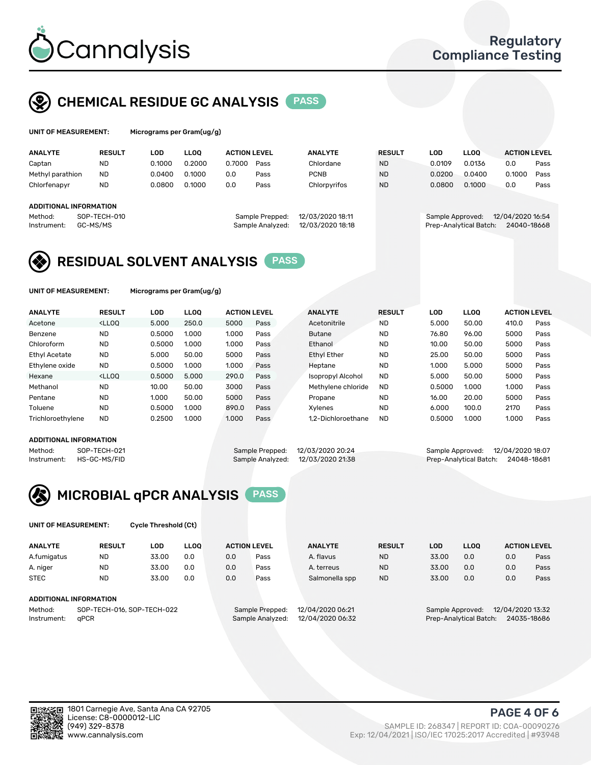

## CHEMICAL RESIDUE GC ANALYSIS PASS

| UNIT OF MEASUREMENT: | Micro |
|----------------------|-------|
|----------------------|-------|

ograms per Gram(ug/g)

| <b>ANALYTE</b>                                          | <b>RESULT</b>            | LOD    | <b>LLOO</b> | <b>ACTION LEVEL</b> |                                     | <b>ANALYTE</b>                       | <b>RESULT</b> | LOD              | <b>LLOO</b>            | <b>ACTION LEVEL</b>             |      |
|---------------------------------------------------------|--------------------------|--------|-------------|---------------------|-------------------------------------|--------------------------------------|---------------|------------------|------------------------|---------------------------------|------|
| Captan                                                  | <b>ND</b>                | 0.1000 | 0.2000      | 0.7000              | Pass                                | Chlordane                            | <b>ND</b>     | 0.0109           | 0.0136                 | 0.0                             | Pass |
| Methyl parathion                                        | <b>ND</b>                | 0.0400 | 0.1000      | 0.0                 | Pass                                | <b>PCNB</b>                          | <b>ND</b>     | 0.0200           | 0.0400                 | 0.1000                          | Pass |
| Chlorfenapyr                                            | <b>ND</b>                | 0.0800 | 0.1000      | 0.0                 | Pass                                | Chlorpyrifos                         | <b>ND</b>     | 0.0800           | 0.1000                 | 0.0                             | Pass |
| <b>ADDITIONAL INFORMATION</b><br>Method:<br>Instrument: | SOP-TECH-010<br>GC-MS/MS |        |             |                     | Sample Prepped:<br>Sample Analyzed: | 12/03/2020 18:11<br>12/03/2020 18:18 |               | Sample Approved: | Prep-Analytical Batch: | 12/04/2020 16:54<br>24040-18668 |      |

## RESIDUAL SOLVENT ANALYSIS PASS

UNIT OF MEASUREMENT: Micrograms per Gram(ug/g)

| <b>ANALYTE</b>       | <b>RESULT</b>                                                                                                                                                                          | LOD    | <b>LLOO</b> | <b>ACTION LEVEL</b> |      | <b>ANALYTE</b>           | <b>RESULT</b> | <b>LOD</b> | <b>LLOO</b> | <b>ACTION LEVEL</b> |      |
|----------------------|----------------------------------------------------------------------------------------------------------------------------------------------------------------------------------------|--------|-------------|---------------------|------|--------------------------|---------------|------------|-------------|---------------------|------|
| Acetone              | <lloq< td=""><td>5.000</td><td>250.0</td><td>5000</td><td>Pass</td><td>Acetonitrile</td><td><b>ND</b></td><td>5.000</td><td>50.00</td><td>410.0</td><td>Pass</td></lloq<>              | 5.000  | 250.0       | 5000                | Pass | Acetonitrile             | <b>ND</b>     | 5.000      | 50.00       | 410.0               | Pass |
| Benzene              | <b>ND</b>                                                                                                                                                                              | 0.5000 | 1.000       | 1.000               | Pass | <b>Butane</b>            | <b>ND</b>     | 76.80      | 96.00       | 5000                | Pass |
| Chloroform           | <b>ND</b>                                                                                                                                                                              | 0.5000 | 1.000       | 1.000               | Pass | Ethanol                  | <b>ND</b>     | 10.00      | 50.00       | 5000                | Pass |
| <b>Ethyl Acetate</b> | <b>ND</b>                                                                                                                                                                              | 5.000  | 50.00       | 5000                | Pass | <b>Ethyl Ether</b>       | <b>ND</b>     | 25.00      | 50.00       | 5000                | Pass |
| Ethylene oxide       | <b>ND</b>                                                                                                                                                                              | 0.5000 | 1.000       | 1.000               | Pass | Heptane                  | <b>ND</b>     | 1.000      | 5.000       | 5000                | Pass |
| Hexane               | <lloo< td=""><td>0.5000</td><td>5.000</td><td>290.0</td><td>Pass</td><td><b>Isopropyl Alcohol</b></td><td><b>ND</b></td><td>5.000</td><td>50.00</td><td>5000</td><td>Pass</td></lloo<> | 0.5000 | 5.000       | 290.0               | Pass | <b>Isopropyl Alcohol</b> | <b>ND</b>     | 5.000      | 50.00       | 5000                | Pass |
| Methanol             | <b>ND</b>                                                                                                                                                                              | 10.00  | 50.00       | 3000                | Pass | Methylene chloride       | <b>ND</b>     | 0.5000     | 1.000       | 1.000               | Pass |
| Pentane              | <b>ND</b>                                                                                                                                                                              | 1.000  | 50.00       | 5000                | Pass | Propane                  | <b>ND</b>     | 16.00      | 20.00       | 5000                | Pass |
| Toluene              | <b>ND</b>                                                                                                                                                                              | 0.5000 | 1.000       | 890.0               | Pass | Xvlenes                  | <b>ND</b>     | 6.000      | 100.0       | 2170                | Pass |
| Trichloroethylene    | <b>ND</b>                                                                                                                                                                              | 0.2500 | 1.000       | 1.000               | Pass | 1.2-Dichloroethane       | <b>ND</b>     | 0.5000     | 1.000       | 1.000               | Pass |

#### ADDITIONAL INFORMATION

Method: SOP-TECH-021 Sample Prepped: 12/03/2020 20:24 Sample Approved: 12/04/2020 18:07<br>Sample Analyzed: 12/03/2020 21:38 Prep-Analytical Batch: 24048-18681 Prep-Analytical Batch: 24048-18681



UNIT OF MEASUREMENT: Cycle Threshold (Ct)

| <b>ANALYTE</b>                        | <b>RESULT</b> | LOD   | <b>LLOO</b> |                                     | <b>ACTION LEVEL</b> | <b>ANALYTE</b>   | <b>RESULT</b>                        | LOD   | <b>LLOO</b>            |     | <b>ACTION LEVEL</b> |
|---------------------------------------|---------------|-------|-------------|-------------------------------------|---------------------|------------------|--------------------------------------|-------|------------------------|-----|---------------------|
| A.fumigatus                           | <b>ND</b>     | 33.00 | 0.0         | 0.0                                 | Pass                | A. flavus        | <b>ND</b>                            | 33.00 | 0.0                    | 0.0 | Pass                |
| A. niger                              | <b>ND</b>     | 33.00 | 0.0         | 0.0                                 | Pass                | A. terreus       | <b>ND</b>                            | 33.00 | 0.0                    | 0.0 | Pass                |
| <b>STEC</b>                           | <b>ND</b>     | 33.00 | 0.0         | 0.0                                 | Pass                | Salmonella spp   | <b>ND</b>                            | 33.00 | 0.0                    | 0.0 | Pass                |
| ADDITIONAL INFORMATION                |               |       |             |                                     |                     |                  |                                      |       |                        |     |                     |
| SOP-TECH-016, SOP-TECH-022<br>Method: |               |       |             | 12/04/2020 06:21<br>Sample Prepped: |                     |                  | 12/04/2020 13:32<br>Sample Approved: |       |                        |     |                     |
| Instrument:                           | aPCR          |       |             |                                     | Sample Analyzed:    | 12/04/2020 06:32 |                                      |       | Prep-Analytical Batch: |     | 24035-18686         |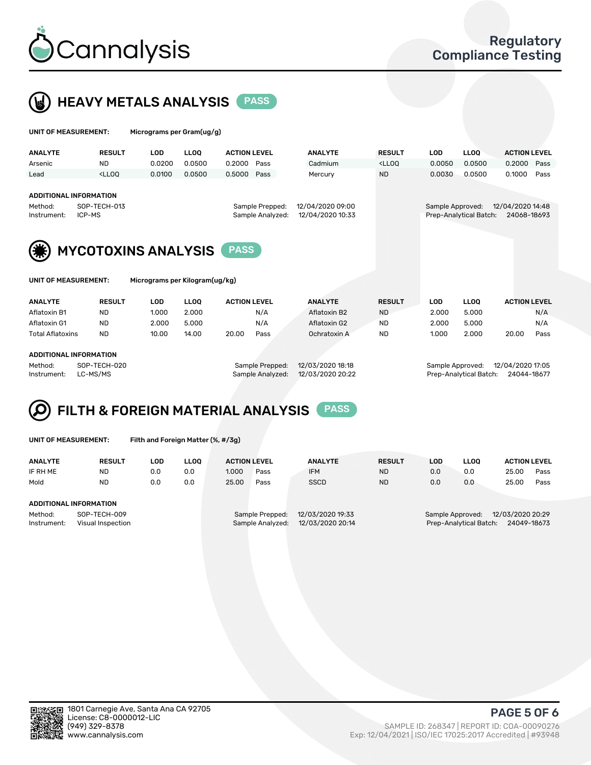

 $U$ UNIT OF MEASUREMENT: Micrograms per Gram(ug/g)



| <b>ANALYTE</b>                                         | <b>RESULT</b>                                                                                                                                                               | <b>LOD</b> | <b>LLOO</b> | <b>ACTION LEVEL</b> |                                      | <b>ANALYTE</b> | <b>RESULT</b>                                                                   | <b>LOD</b>                           | LLOO <sup>1</sup>      | <b>ACTION LEVEL</b> |      |  |
|--------------------------------------------------------|-----------------------------------------------------------------------------------------------------------------------------------------------------------------------------|------------|-------------|---------------------|--------------------------------------|----------------|---------------------------------------------------------------------------------|--------------------------------------|------------------------|---------------------|------|--|
| Arsenic                                                | <b>ND</b>                                                                                                                                                                   | 0.0200     | 0.0500      | 0.2000              | Pass                                 | Cadmium        | <lloq< td=""><td>0.0050</td><td>0.0500</td><td>0.2000</td><td>Pass</td></lloq<> | 0.0050                               | 0.0500                 | 0.2000              | Pass |  |
| Lead                                                   | <lloo< th=""><th>0.0100</th><th>0.0500</th><th>0.5000</th><th>Pass</th><th>Mercury</th><th><b>ND</b></th><th>0.0030</th><th>0.0500</th><th>0.1000</th><th>Pass</th></lloo<> | 0.0100     | 0.0500      | 0.5000              | Pass                                 | Mercury        | <b>ND</b>                                                                       | 0.0030                               | 0.0500                 | 0.1000              | Pass |  |
|                                                        |                                                                                                                                                                             |            |             |                     |                                      |                |                                                                                 |                                      |                        |                     |      |  |
| <b>ADDITIONAL INFORMATION</b>                          |                                                                                                                                                                             |            |             |                     |                                      |                |                                                                                 |                                      |                        |                     |      |  |
| SOP-TECH-013<br>Method:                                |                                                                                                                                                                             |            |             |                     | 12/04/2020 09:00<br>Sample Prepped:  |                |                                                                                 | 12/04/2020 14:48<br>Sample Approved: |                        |                     |      |  |
| ICP-MS<br>Instrument:                                  |                                                                                                                                                                             |            |             |                     | 12/04/2020 10:33<br>Sample Analyzed: |                |                                                                                 |                                      | Prep-Analytical Batch: | 24068-18693         |      |  |
|                                                        |                                                                                                                                                                             |            |             |                     |                                      |                |                                                                                 |                                      |                        |                     |      |  |
|                                                        |                                                                                                                                                                             |            |             |                     |                                      |                |                                                                                 |                                      |                        |                     |      |  |
| <b>MYCOTOXINS ANALYSIS</b>                             |                                                                                                                                                                             |            |             |                     |                                      |                |                                                                                 |                                      |                        |                     |      |  |
|                                                        |                                                                                                                                                                             |            |             |                     |                                      |                |                                                                                 |                                      |                        |                     |      |  |
| UNIT OF MEASUREMENT:<br>Micrograms per Kilogram(ug/kg) |                                                                                                                                                                             |            |             |                     |                                      |                |                                                                                 |                                      |                        |                     |      |  |
|                                                        |                                                                                                                                                                             |            |             |                     |                                      |                |                                                                                 |                                      |                        |                     |      |  |
|                                                        |                                                                                                                                                                             |            |             |                     |                                      |                |                                                                                 |                                      |                        |                     |      |  |

| <b>ANALYTE</b>          | <b>RESULT</b>                 | LOD             | LLOO             | <b>ACTION LEVEL</b> | <b>ANALYTE</b>   | <b>RESULT</b> | LOD.             | LLOQ  | <b>ACTION LEVEL</b> |      |
|-------------------------|-------------------------------|-----------------|------------------|---------------------|------------------|---------------|------------------|-------|---------------------|------|
| Aflatoxin B1            | ND                            | 1.000           | 2.000            | N/A                 | Aflatoxin B2     | <b>ND</b>     | 2.000            | 5.000 |                     | N/A  |
| Aflatoxin G1            | <b>ND</b>                     | 2.000           | 5.000            | N/A                 | Aflatoxin G2     | <b>ND</b>     | 2.000            | 5.000 |                     | N/A  |
| <b>Total Aflatoxins</b> | <b>ND</b>                     | 10.00           | 14.00            | 20.00<br>Pass       | Ochratoxin A     | <b>ND</b>     | 1.000            | 2.000 | 20.00               | Pass |
|                         |                               |                 |                  |                     |                  |               |                  |       |                     |      |
|                         | <b>ADDITIONAL INFORMATION</b> |                 |                  |                     |                  |               |                  |       |                     |      |
| Method:<br>SOP-TECH-020 |                               | Sample Prepped: | 12/03/2020 18:18 |                     | Sample Approved: |               | 12/04/2020 17:05 |       |                     |      |
|                         |                               |                 |                  |                     |                  |               |                  |       |                     |      |

Instrument: LC-MS/MS Sample Analyzed: 12/03/2020 20:22 Prep-Analytical Batch: 24044-18677

#### FILTH & FOREIGN MATERIAL ANALYSIS PASS Q

UNIT OF MEASUREMENT: Filth and Foreign Matter (%, #/3g)

| <b>ANALYTE</b>                                              | <b>RESULT</b> | LOD | <b>LLOO</b> | <b>ACTION LEVEL</b> |                                     | <b>ANALYTE</b>                       | <b>RESULT</b> | LOD | <b>LLOO</b> | <b>ACTION LEVEL</b>                                                           |      |  |  |
|-------------------------------------------------------------|---------------|-----|-------------|---------------------|-------------------------------------|--------------------------------------|---------------|-----|-------------|-------------------------------------------------------------------------------|------|--|--|
| IF RH ME                                                    | <b>ND</b>     | 0.0 | 0.0         | 1.000               | Pass                                | <b>IFM</b>                           | <b>ND</b>     | 0.0 | 0.0         | 25.00                                                                         | Pass |  |  |
| Mold                                                        | <b>ND</b>     | 0.0 | 0.0         | 25.00               | Pass                                | <b>SSCD</b>                          | <b>ND</b>     | 0.0 | 0.0         | 25.00                                                                         | Pass |  |  |
| ADDITIONAL INFORMATION                                      |               |     |             |                     |                                     |                                      |               |     |             |                                                                               |      |  |  |
| Method:<br>SOP-TECH-009<br>Instrument:<br>Visual Inspection |               |     |             |                     | Sample Prepped:<br>Sample Analyzed: | 12/03/2020 19:33<br>12/03/2020 20:14 |               |     |             | 12/03/2020 20:29<br>Sample Approved:<br>Prep-Analytical Batch:<br>24049-18673 |      |  |  |



PAGE 5 OF 6